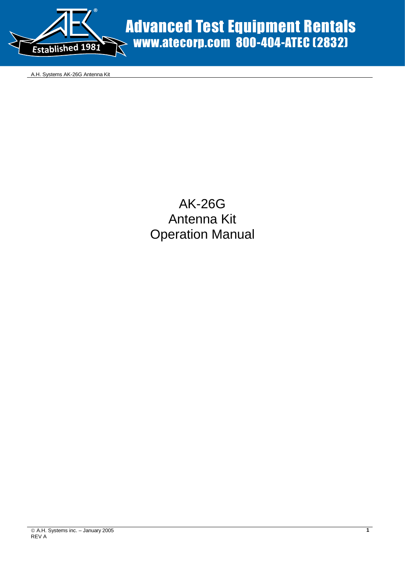

A.H. Systems AK-26G Antenna Kit

# AK-26G Antenna Kit Operation Manual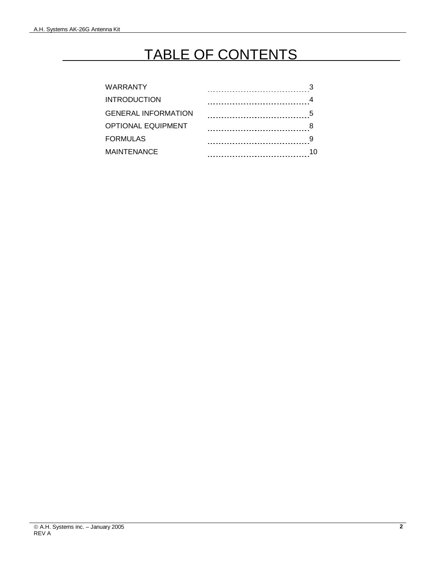# TABLE OF CONTENTS

| <b>WARRANTY</b>            |                                    |    |
|----------------------------|------------------------------------|----|
| <b>INTRODUCTION</b>        | ---------------------------------- |    |
| <b>GENERAL INFORMATION</b> |                                    |    |
| <b>OPTIONAL EQUIPMENT</b>  |                                    |    |
| <b>FORMULAS</b>            |                                    |    |
| <b>MAINTENANCE</b>         |                                    | 10 |
|                            |                                    |    |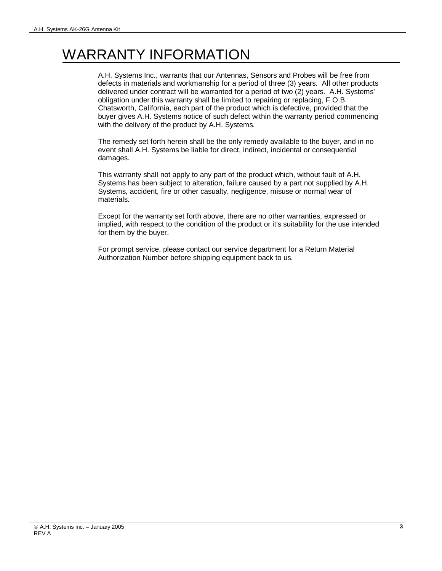# WARRANTY INFORMATION

A.H. Systems Inc., warrants that our Antennas, Sensors and Probes will be free from defects in materials and workmanship for a period of three (3) years. All other products delivered under contract will be warranted for a period of two (2) years. A.H. Systems' obligation under this warranty shall be limited to repairing or replacing, F.O.B. Chatsworth, California, each part of the product which is defective, provided that the buyer gives A.H. Systems notice of such defect within the warranty period commencing with the delivery of the product by A.H. Systems.

The remedy set forth herein shall be the only remedy available to the buyer, and in no event shall A.H. Systems be liable for direct, indirect, incidental or consequential damages.

This warranty shall not apply to any part of the product which, without fault of A.H. Systems has been subject to alteration, failure caused by a part not supplied by A.H. Systems, accident, fire or other casualty, negligence, misuse or normal wear of materials.

Except for the warranty set forth above, there are no other warranties, expressed or implied, with respect to the condition of the product or it's suitability for the use intended for them by the buyer.

For prompt service, please contact our service department for a Return Material Authorization Number before shipping equipment back to us.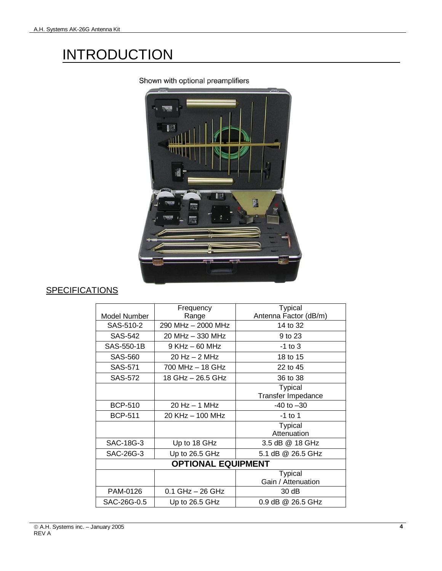# **INTRODUCTION**



Shown with optional preamplifiers

## **SPECIFICATIONS**

|                           | Frequency            | <b>Typical</b>            |  |
|---------------------------|----------------------|---------------------------|--|
| Model Number              | Range                | Antenna Factor (dB/m)     |  |
| SAS-510-2                 | 290 MHz - 2000 MHz   | 14 to 32                  |  |
| SAS-542                   | 20 MHz - 330 MHz     | 9 to 23                   |  |
| SAS-550-1B                | $9$ KHz $-$ 60 MHz   | $-1$ to $3$               |  |
| <b>SAS-560</b>            | $20$ Hz $-$ 2 MHz    | 18 to 15                  |  |
| SAS-571                   | 700 MHz - 18 GHz     | 22 to 45                  |  |
| SAS-572                   | 18 GHz - 26.5 GHz    | 36 to 38                  |  |
|                           |                      | <b>Typical</b>            |  |
|                           |                      | <b>Transfer Impedance</b> |  |
| <b>BCP-510</b>            | $20$ Hz $-$ 1 MHz    | $-40$ to $-30$            |  |
| <b>BCP-511</b>            | 20 KHz - 100 MHz     | $-1$ to 1                 |  |
|                           |                      | <b>Typical</b>            |  |
|                           |                      | Attenuation               |  |
| SAC-18G-3                 | Up to 18 GHz         | 3.5 dB @ 18 GHz           |  |
| SAC-26G-3                 | Up to 26.5 GHz       | 5.1 dB @ 26.5 GHz         |  |
| <b>OPTIONAL EQUIPMENT</b> |                      |                           |  |
|                           |                      | <b>Typical</b>            |  |
|                           |                      | Gain / Attenuation        |  |
| PAM-0126                  | $0.1$ GHz $-$ 26 GHz | 30 dB                     |  |
| SAC-26G-0.5               | Up to 26.5 GHz       | $0.9$ dB $@$ 26.5 GHz     |  |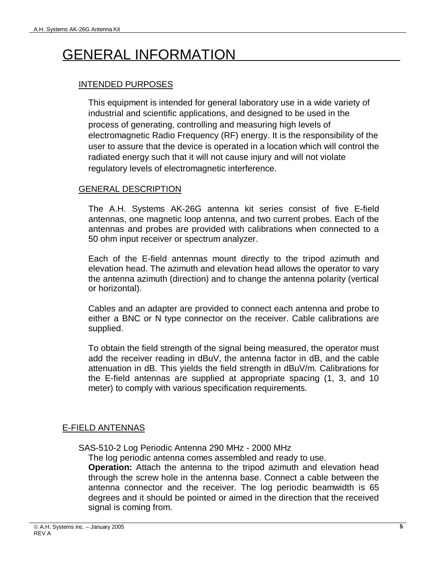# GENERAL INFORMATION

## INTENDED PURPOSES

This equipment is intended for general laboratory use in a wide variety of industrial and scientific applications, and designed to be used in the process of generating, controlling and measuring high levels of electromagnetic Radio Frequency (RF) energy. It is the responsibility of the user to assure that the device is operated in a location which will control the radiated energy such that it will not cause injury and will not violate regulatory levels of electromagnetic interference.

### GENERAL DESCRIPTION

The A.H. Systems AK-26G antenna kit series consist of five E-field antennas, one magnetic loop antenna, and two current probes. Each of the antennas and probes are provided with calibrations when connected to a 50 ohm input receiver or spectrum analyzer.

Each of the E-field antennas mount directly to the tripod azimuth and elevation head. The azimuth and elevation head allows the operator to vary the antenna azimuth (direction) and to change the antenna polarity (vertical or horizontal).

Cables and an adapter are provided to connect each antenna and probe to either a BNC or N type connector on the receiver. Cable calibrations are supplied.

To obtain the field strength of the signal being measured, the operator must add the receiver reading in dBuV, the antenna factor in dB, and the cable attenuation in dB. This yields the field strength in dBuV/m. Calibrations for the E-field antennas are supplied at appropriate spacing (1, 3, and 10 meter) to comply with various specification requirements.

## E-FIELD ANTENNAS

SAS-510-2 Log Periodic Antenna 290 MHz - 2000 MHz

The log periodic antenna comes assembled and ready to use.

**Operation:** Attach the antenna to the tripod azimuth and elevation head through the screw hole in the antenna base. Connect a cable between the antenna connector and the receiver. The log periodic beamwidth is 65 degrees and it should be pointed or aimed in the direction that the received signal is coming from.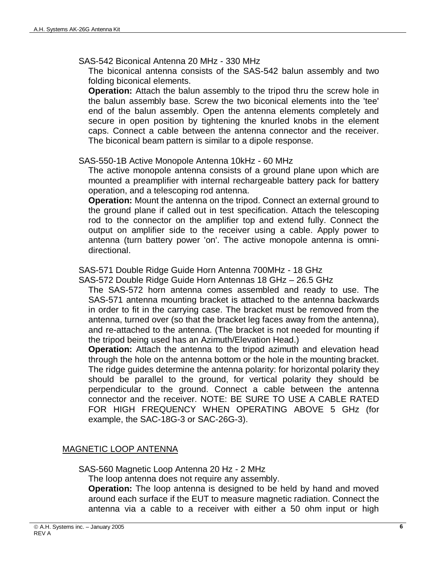#### SAS-542 Biconical Antenna 20 MHz - 330 MHz

The biconical antenna consists of the SAS-542 balun assembly and two folding biconical elements.

**Operation:** Attach the balun assembly to the tripod thru the screw hole in the balun assembly base. Screw the two biconical elements into the 'tee' end of the balun assembly. Open the antenna elements completely and secure in open position by tightening the knurled knobs in the element caps. Connect a cable between the antenna connector and the receiver. The biconical beam pattern is similar to a dipole response.

#### SAS-550-1B Active Monopole Antenna 10kHz - 60 MHz

The active monopole antenna consists of a ground plane upon which are mounted a preamplifier with internal rechargeable battery pack for battery operation, and a telescoping rod antenna.

**Operation:** Mount the antenna on the tripod. Connect an external ground to the ground plane if called out in test specification. Attach the telescoping rod to the connector on the amplifier top and extend fully. Connect the output on amplifier side to the receiver using a cable. Apply power to antenna (turn battery power 'on'. The active monopole antenna is omnidirectional.

### SAS-571 Double Ridge Guide Horn Antenna 700MHz - 18 GHz

SAS-572 Double Ridge Guide Horn Antennas 18 GHz – 26.5 GHz

The SAS-572 horn antenna comes assembled and ready to use. The SAS-571 antenna mounting bracket is attached to the antenna backwards in order to fit in the carrying case. The bracket must be removed from the antenna, turned over (so that the bracket leg faces away from the antenna), and re-attached to the antenna. (The bracket is not needed for mounting if the tripod being used has an Azimuth/Elevation Head.)

**Operation:** Attach the antenna to the tripod azimuth and elevation head through the hole on the antenna bottom or the hole in the mounting bracket. The ridge guides determine the antenna polarity: for horizontal polarity they should be parallel to the ground, for vertical polarity they should be perpendicular to the ground. Connect a cable between the antenna connector and the receiver. NOTE: BE SURE TO USE A CABLE RATED FOR HIGH FREQUENCY WHEN OPERATING ABOVE 5 GHz (for example, the SAC-18G-3 or SAC-26G-3).

## MAGNETIC LOOP ANTENNA

SAS-560 Magnetic Loop Antenna 20 Hz - 2 MHz

The loop antenna does not require any assembly.

**Operation:** The loop antenna is designed to be held by hand and moved around each surface if the EUT to measure magnetic radiation. Connect the antenna via a cable to a receiver with either a 50 ohm input or high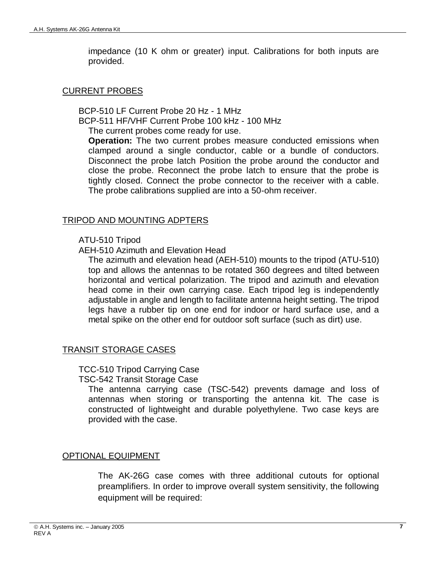impedance (10 K ohm or greater) input. Calibrations for both inputs are provided.

#### CURRENT PROBES

BCP-510 LF Current Probe 20 Hz - 1 MHz BCP-511 HF/VHF Current Probe 100 kHz - 100 MHz The current probes come ready for use.

**Operation:** The two current probes measure conducted emissions when clamped around a single conductor, cable or a bundle of conductors. Disconnect the probe latch Position the probe around the conductor and close the probe. Reconnect the probe latch to ensure that the probe is tightly closed. Connect the probe connector to the receiver with a cable. The probe calibrations supplied are into a 50-ohm receiver.

#### TRIPOD AND MOUNTING ADPTERS

#### ATU-510 Tripod

AEH-510 Azimuth and Elevation Head

The azimuth and elevation head (AEH-510) mounts to the tripod (ATU-510) top and allows the antennas to be rotated 360 degrees and tilted between horizontal and vertical polarization. The tripod and azimuth and elevation head come in their own carrying case. Each tripod leg is independently adjustable in angle and length to facilitate antenna height setting. The tripod legs have a rubber tip on one end for indoor or hard surface use, and a metal spike on the other end for outdoor soft surface (such as dirt) use.

### TRANSIT STORAGE CASES

#### TCC-510 Tripod Carrying Case TSC-542 Transit Storage Case

The antenna carrying case (TSC-542) prevents damage and loss of antennas when storing or transporting the antenna kit. The case is constructed of lightweight and durable polyethylene. Two case keys are provided with the case.

### OPTIONAL EQUIPMENT

The AK-26G case comes with three additional cutouts for optional preamplifiers. In order to improve overall system sensitivity, the following equipment will be required: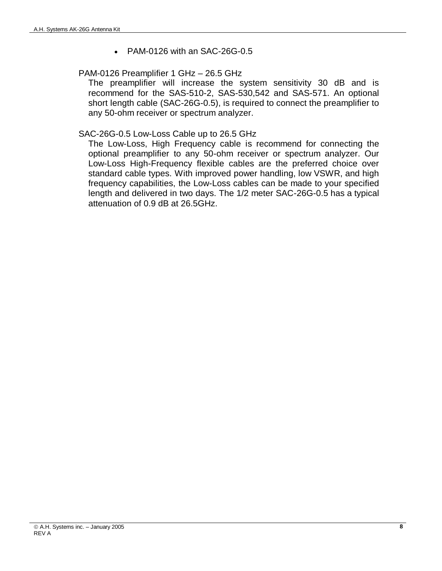• PAM-0126 with an SAC-26G-0.5

### PAM-0126 Preamplifier 1 GHz – 26.5 GHz

The preamplifier will increase the system sensitivity 30 dB and is recommend for the SAS-510-2, SAS-530,542 and SAS-571. An optional short length cable (SAC-26G-0.5), is required to connect the preamplifier to any 50-ohm receiver or spectrum analyzer.

### SAC-26G-0.5 Low-Loss Cable up to 26.5 GHz

The Low-Loss, High Frequency cable is recommend for connecting the optional preamplifier to any 50-ohm receiver or spectrum analyzer. Our Low-Loss High-Frequency flexible cables are the preferred choice over standard cable types. With improved power handling, low VSWR, and high frequency capabilities, the Low-Loss cables can be made to your specified length and delivered in two days. The 1/2 meter SAC-26G-0.5 has a typical attenuation of 0.9 dB at 26.5GHz.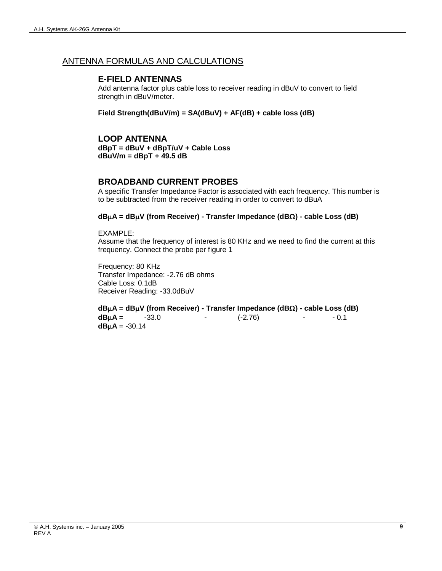#### ANTENNA FORMULAS AND CALCULATIONS

#### **E-FIELD ANTENNAS**

Add antenna factor plus cable loss to receiver reading in dBuV to convert to field strength in dBuV/meter.

**Field Strength(dBuV/m) = SA(dBuV) + AF(dB) + cable loss (dB)**

**LOOP ANTENNA dBpT = dBuV + dBpT/uV + Cable Loss dBuV/m = dBpT + 49.5 dB**

#### **BROADBAND CURRENT PROBES**

A specific Transfer Impedance Factor is associated with each frequency. This number is to be subtracted from the receiver reading in order to convert to dBuA

#### **dBA = dBV (from Receiver) - Transfer Impedance (dB) - cable Loss (dB)**

EXAMPLE: Assume that the frequency of interest is 80 KHz and we need to find the current at this frequency. Connect the probe per figure 1

Frequency: 80 KHz Transfer Impedance: -2.76 dB ohms Cable Loss: 0.1dB Receiver Reading: -33.0dBuV

**dBA = dBV (from Receiver) - Transfer Impedance (dB) - cable Loss (dB) dBA** = -33.0 - (-2.76) - - 0.1  $dB\mu$ A = -30.14